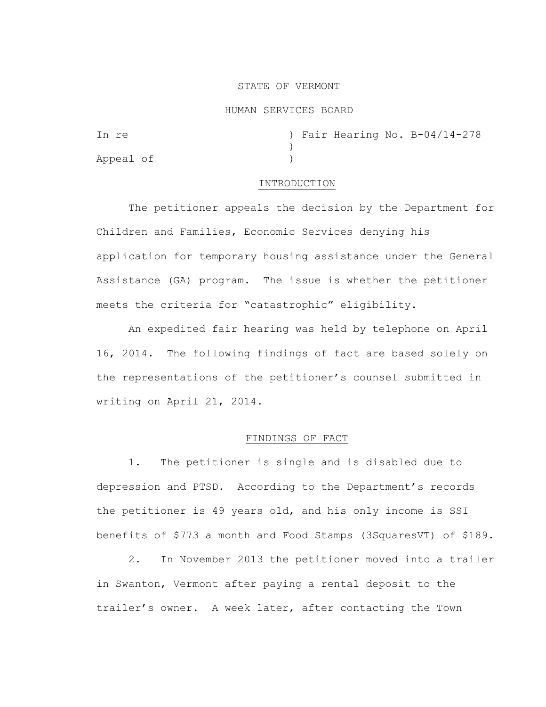### STATE OF VERMONT

#### HUMAN SERVICES BOARD

| In re     |  |  | ) Fair Hearing No. B-04/14-278 |
|-----------|--|--|--------------------------------|
|           |  |  |                                |
| Appeal of |  |  |                                |

#### INTRODUCTION

The petitioner appeals the decision by the Department for Children and Families, Economic Services denying his application for temporary housing assistance under the General Assistance (GA) program. The issue is whether the petitioner meets the criteria for "catastrophic" eligibility.

 An expedited fair hearing was held by telephone on April 16, 2014. The following findings of fact are based solely on the representations of the petitioner's counsel submitted in writing on April 21, 2014.

## FINDINGS OF FACT

1. The petitioner is single and is disabled due to depression and PTSD. According to the Department's records the petitioner is 49 years old, and his only income is SSI benefits of \$773 a month and Food Stamps (3SquaresVT) of \$189.

2. In November 2013 the petitioner moved into a trailer in Swanton, Vermont after paying a rental deposit to the trailer's owner. A week later, after contacting the Town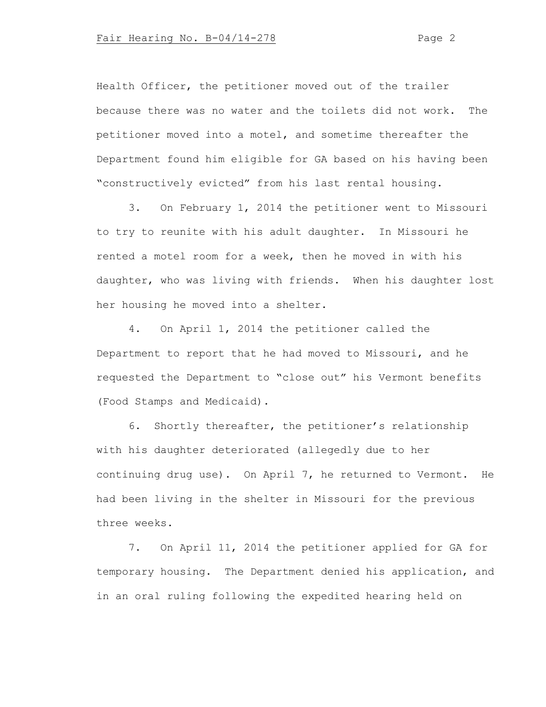Health Officer, the petitioner moved out of the trailer because there was no water and the toilets did not work. The petitioner moved into a motel, and sometime thereafter the Department found him eligible for GA based on his having been "constructively evicted" from his last rental housing.

3. On February 1, 2014 the petitioner went to Missouri to try to reunite with his adult daughter. In Missouri he rented a motel room for a week, then he moved in with his daughter, who was living with friends. When his daughter lost her housing he moved into a shelter.

4. On April 1, 2014 the petitioner called the Department to report that he had moved to Missouri, and he requested the Department to "close out" his Vermont benefits (Food Stamps and Medicaid).

6. Shortly thereafter, the petitioner's relationship with his daughter deteriorated (allegedly due to her continuing drug use). On April 7, he returned to Vermont. He had been living in the shelter in Missouri for the previous three weeks.

7. On April 11, 2014 the petitioner applied for GA for temporary housing. The Department denied his application, and in an oral ruling following the expedited hearing held on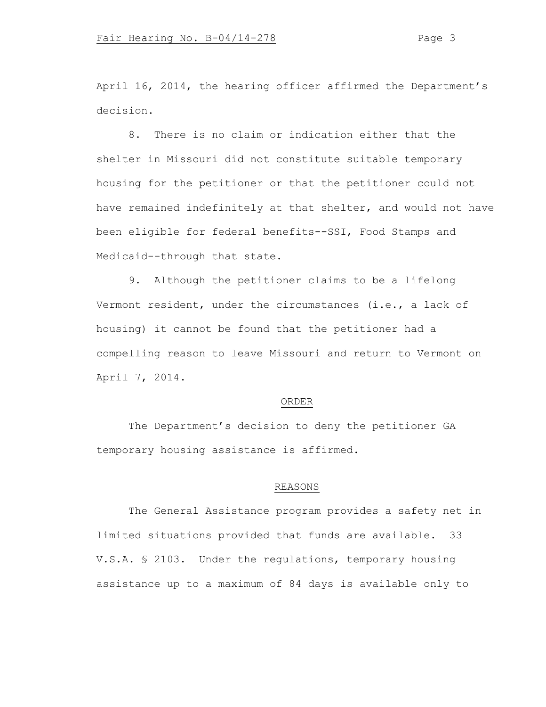April 16, 2014, the hearing officer affirmed the Department's decision.

8. There is no claim or indication either that the shelter in Missouri did not constitute suitable temporary housing for the petitioner or that the petitioner could not have remained indefinitely at that shelter, and would not have been eligible for federal benefits--SSI, Food Stamps and Medicaid--through that state.

9. Although the petitioner claims to be a lifelong Vermont resident, under the circumstances (i.e., a lack of housing) it cannot be found that the petitioner had a compelling reason to leave Missouri and return to Vermont on April 7, 2014.

## ORDER

The Department's decision to deny the petitioner GA temporary housing assistance is affirmed.

# REASONS

The General Assistance program provides a safety net in limited situations provided that funds are available. 33 V.S.A. § 2103. Under the regulations, temporary housing assistance up to a maximum of 84 days is available only to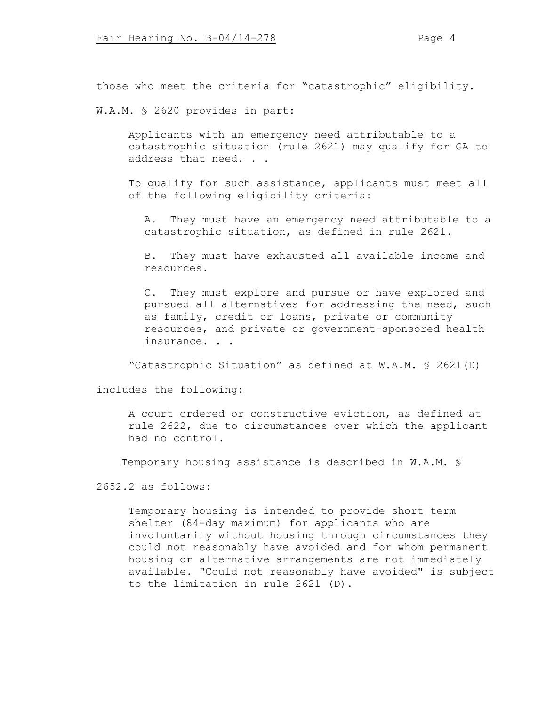those who meet the criteria for "catastrophic" eligibility.

W.A.M. § 2620 provides in part:

Applicants with an emergency need attributable to a catastrophic situation (rule 2621) may qualify for GA to address that need. . .

To qualify for such assistance, applicants must meet all of the following eligibility criteria:

A. They must have an emergency need attributable to a catastrophic situation, as defined in rule 2621.

B. They must have exhausted all available income and resources.

C. They must explore and pursue or have explored and pursued all alternatives for addressing the need, such as family, credit or loans, private or community resources, and private or government-sponsored health insurance. . .

"Catastrophic Situation" as defined at W.A.M. § 2621(D)

includes the following:

A court ordered or constructive eviction, as defined at rule 2622, due to circumstances over which the applicant had no control.

Temporary housing assistance is described in W.A.M. §

2652.2 as follows:

Temporary housing is intended to provide short term shelter (84-day maximum) for applicants who are involuntarily without housing through circumstances they could not reasonably have avoided and for whom permanent housing or alternative arrangements are not immediately available. "Could not reasonably have avoided" is subject to the limitation in rule 2621 (D).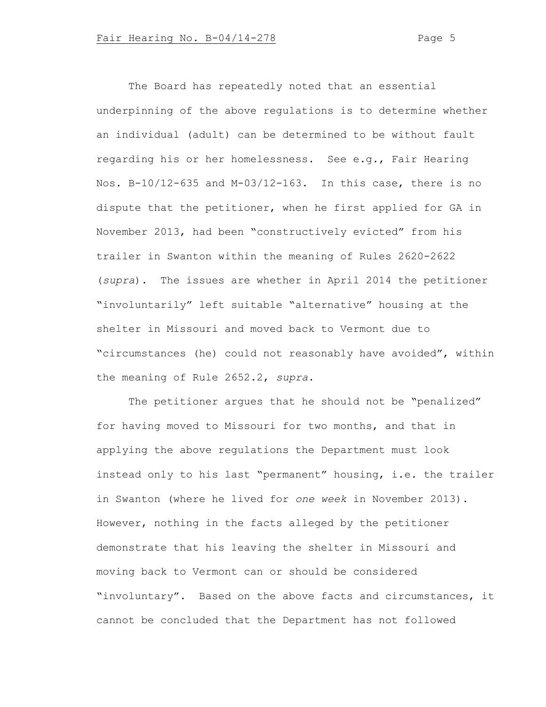The Board has repeatedly noted that an essential underpinning of the above regulations is to determine whether an individual (adult) can be determined to be without fault regarding his or her homelessness. See e.g., Fair Hearing Nos. B-10/12-635 and M-03/12-163. In this case, there is no dispute that the petitioner, when he first applied for GA in November 2013, had been "constructively evicted" from his trailer in Swanton within the meaning of Rules 2620-2622 (*supra*). The issues are whether in April 2014 the petitioner "involuntarily" left suitable "alternative" housing at the shelter in Missouri and moved back to Vermont due to "circumstances (he) could not reasonably have avoided", within the meaning of Rule 2652.2, *supra*.

The petitioner argues that he should not be "penalized" for having moved to Missouri for two months, and that in applying the above regulations the Department must look instead only to his last "permanent" housing, i.e. the trailer in Swanton (where he lived for *one week* in November 2013). However, nothing in the facts alleged by the petitioner demonstrate that his leaving the shelter in Missouri and moving back to Vermont can or should be considered "involuntary". Based on the above facts and circumstances, it cannot be concluded that the Department has not followed